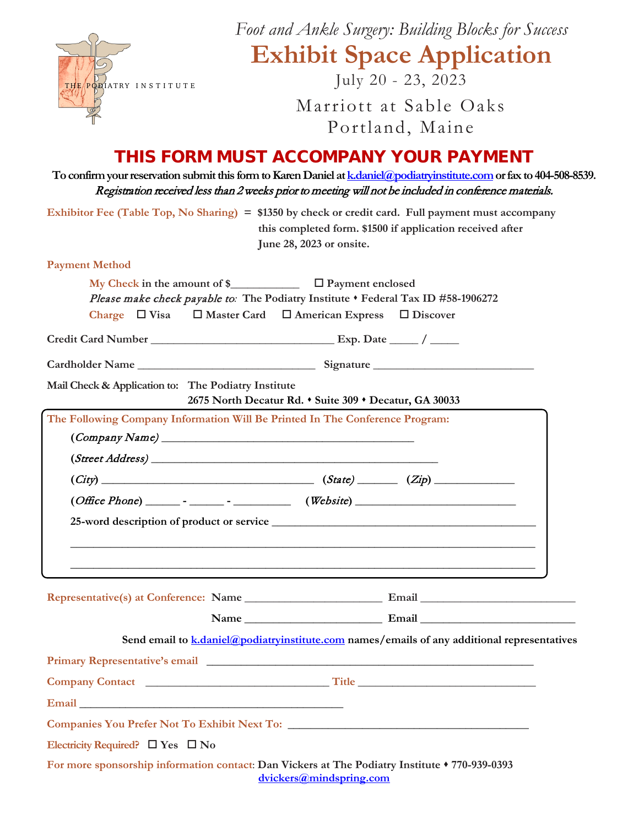|                                                     | Foot and Ankle Surgery: Building Blocks for Success                                                                                                                                                                                      |
|-----------------------------------------------------|------------------------------------------------------------------------------------------------------------------------------------------------------------------------------------------------------------------------------------------|
|                                                     | <b>Exhibit Space Application</b>                                                                                                                                                                                                         |
| THE POBIATRY INSTITUTE                              | July 20 - 23, 2023                                                                                                                                                                                                                       |
|                                                     | Marriott at Sable Oaks                                                                                                                                                                                                                   |
|                                                     | Portland, Maine                                                                                                                                                                                                                          |
|                                                     | THIS FORM MUST ACCOMPANY YOUR PAYMENT                                                                                                                                                                                                    |
|                                                     | To confirm your reservation submit this form to Karen Daniel at <b>k</b> daniel @podiatryinstitute.com or fax to 404-508-8539.<br>Registration received less than 2 weeks prior to meeting will not be included in conference materials. |
|                                                     | Exhibitor Fee (Table Top, No Sharing) = $$1350$ by check or credit card. Full payment must accompany<br>this completed form. \$1500 if application received after<br>June 28, 2023 or onsite.                                            |
| <b>Payment Method</b>                               |                                                                                                                                                                                                                                          |
|                                                     | My Check in the amount of $\sum$ $\Box$ Payment enclosed<br>Please make check payable to: The Podiatry Institute . Federal Tax ID #58-1906272<br>Charge $\Box$ Visa $\Box$ Master Card $\Box$ American Express<br>$\Box$ Discover        |
|                                                     |                                                                                                                                                                                                                                          |
|                                                     |                                                                                                                                                                                                                                          |
| Mail Check & Application to: The Podiatry Institute | 2675 North Decatur Rd. • Suite 309 • Decatur, GA 30033                                                                                                                                                                                   |
|                                                     | The Following Company Information Will Be Printed In The Conference Program:<br>$\left( \textit{Company Name} \right)$                                                                                                                   |
| (Street Address)                                    |                                                                                                                                                                                                                                          |
| (City)                                              | (State)<br>(Zip)                                                                                                                                                                                                                         |
|                                                     |                                                                                                                                                                                                                                          |
|                                                     |                                                                                                                                                                                                                                          |
|                                                     | <u> 1989 - Jan James James Barnett, amerikan bernama (h. 1988).</u><br><u> 1989 - Jan James James James James James James James James James James James James James James James James J</u>                                              |
|                                                     |                                                                                                                                                                                                                                          |
|                                                     |                                                                                                                                                                                                                                          |
|                                                     | Send email to $k$ , daniel $\omega$ podiatry institute, com names / emails of any additional representatives                                                                                                                             |
|                                                     |                                                                                                                                                                                                                                          |
|                                                     |                                                                                                                                                                                                                                          |
|                                                     |                                                                                                                                                                                                                                          |
|                                                     |                                                                                                                                                                                                                                          |
| Electricity Required? $\Box$ Yes $\Box$ No          |                                                                                                                                                                                                                                          |
|                                                     | For more sponsorship information contact: Dan Vickers at The Podiatry Institute $*$ 770-939-0393<br>dvickers@mindspring.com                                                                                                              |